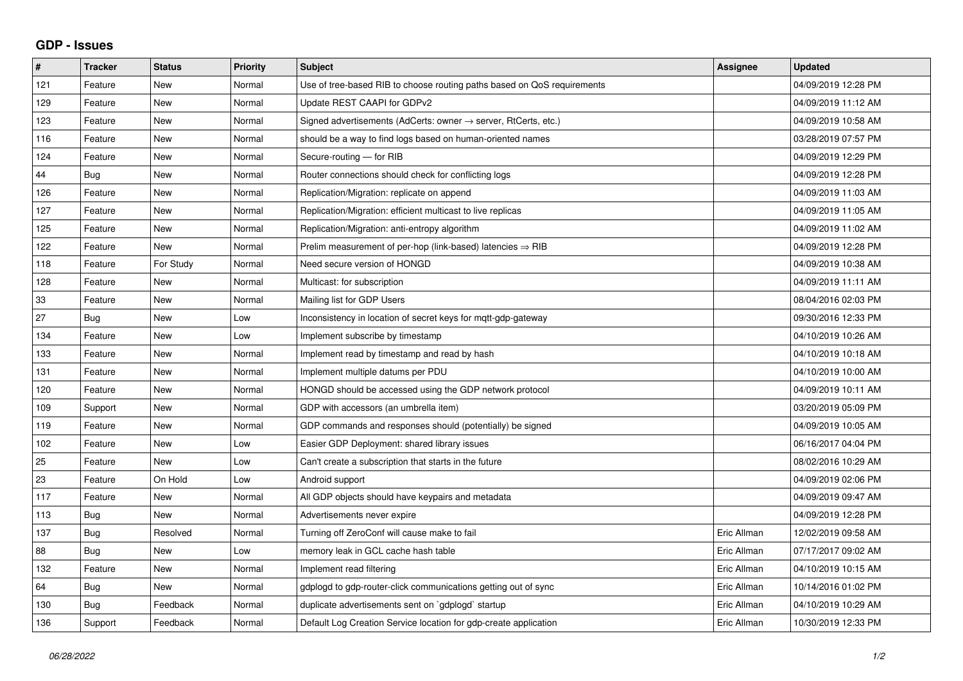## **GDP - Issues**

| $\#$ | <b>Tracker</b> | <b>Status</b> | <b>Priority</b> | <b>Subject</b>                                                          | Assignee    | <b>Updated</b>      |
|------|----------------|---------------|-----------------|-------------------------------------------------------------------------|-------------|---------------------|
| 121  | Feature        | <b>New</b>    | Normal          | Use of tree-based RIB to choose routing paths based on QoS requirements |             | 04/09/2019 12:28 PM |
| 129  | Feature        | <b>New</b>    | Normal          | Update REST CAAPI for GDPv2                                             |             | 04/09/2019 11:12 AM |
| 123  | Feature        | <b>New</b>    | Normal          | Signed advertisements (AdCerts: owner → server, RtCerts, etc.)          |             | 04/09/2019 10:58 AM |
| 116  | Feature        | <b>New</b>    | Normal          | should be a way to find logs based on human-oriented names              |             | 03/28/2019 07:57 PM |
| 124  | Feature        | <b>New</b>    | Normal          | Secure-routing - for RIB                                                |             | 04/09/2019 12:29 PM |
| 44   | <b>Bug</b>     | <b>New</b>    | Normal          | Router connections should check for conflicting logs                    |             | 04/09/2019 12:28 PM |
| 126  | Feature        | <b>New</b>    | Normal          | Replication/Migration: replicate on append                              |             | 04/09/2019 11:03 AM |
| 127  | Feature        | <b>New</b>    | Normal          | Replication/Migration: efficient multicast to live replicas             |             | 04/09/2019 11:05 AM |
| 125  | Feature        | <b>New</b>    | Normal          | Replication/Migration: anti-entropy algorithm                           |             | 04/09/2019 11:02 AM |
| 122  | Feature        | <b>New</b>    | Normal          | Prelim measurement of per-hop (link-based) latencies $\Rightarrow$ RIB  |             | 04/09/2019 12:28 PM |
| 118  | Feature        | For Study     | Normal          | Need secure version of HONGD                                            |             | 04/09/2019 10:38 AM |
| 128  | Feature        | <b>New</b>    | Normal          | Multicast: for subscription                                             |             | 04/09/2019 11:11 AM |
| 33   | Feature        | <b>New</b>    | Normal          | Mailing list for GDP Users                                              |             | 08/04/2016 02:03 PM |
| 27   | Bug            | <b>New</b>    | Low             | Inconsistency in location of secret keys for mqtt-gdp-gateway           |             | 09/30/2016 12:33 PM |
| 134  | Feature        | <b>New</b>    | Low             | Implement subscribe by timestamp                                        |             | 04/10/2019 10:26 AM |
| 133  | Feature        | <b>New</b>    | Normal          | Implement read by timestamp and read by hash                            |             | 04/10/2019 10:18 AM |
| 131  | Feature        | <b>New</b>    | Normal          | Implement multiple datums per PDU                                       |             | 04/10/2019 10:00 AM |
| 120  | Feature        | New           | Normal          | HONGD should be accessed using the GDP network protocol                 |             | 04/09/2019 10:11 AM |
| 109  | Support        | <b>New</b>    | Normal          | GDP with accessors (an umbrella item)                                   |             | 03/20/2019 05:09 PM |
| 119  | Feature        | <b>New</b>    | Normal          | GDP commands and responses should (potentially) be signed               |             | 04/09/2019 10:05 AM |
| 102  | Feature        | New           | Low             | Easier GDP Deployment: shared library issues                            |             | 06/16/2017 04:04 PM |
| 25   | Feature        | <b>New</b>    | Low             | Can't create a subscription that starts in the future                   |             | 08/02/2016 10:29 AM |
| 23   | Feature        | On Hold       | Low             | Android support                                                         |             | 04/09/2019 02:06 PM |
| 117  | Feature        | <b>New</b>    | Normal          | All GDP objects should have keypairs and metadata                       |             | 04/09/2019 09:47 AM |
| 113  | <b>Bug</b>     | New           | Normal          | Advertisements never expire                                             |             | 04/09/2019 12:28 PM |
| 137  | Bug            | Resolved      | Normal          | Turning off ZeroConf will cause make to fail                            | Eric Allman | 12/02/2019 09:58 AM |
| 88   | Bug            | <b>New</b>    | Low             | memory leak in GCL cache hash table                                     | Eric Allman | 07/17/2017 09:02 AM |
| 132  | Feature        | <b>New</b>    | Normal          | Implement read filtering                                                | Eric Allman | 04/10/2019 10:15 AM |
| 64   | Bug            | New           | Normal          | gdplogd to gdp-router-click communications getting out of sync          | Eric Allman | 10/14/2016 01:02 PM |
| 130  | Bug            | Feedback      | Normal          | duplicate advertisements sent on `gdplogd` startup                      | Eric Allman | 04/10/2019 10:29 AM |
| 136  | Support        | Feedback      | Normal          | Default Log Creation Service location for gdp-create application        | Eric Allman | 10/30/2019 12:33 PM |